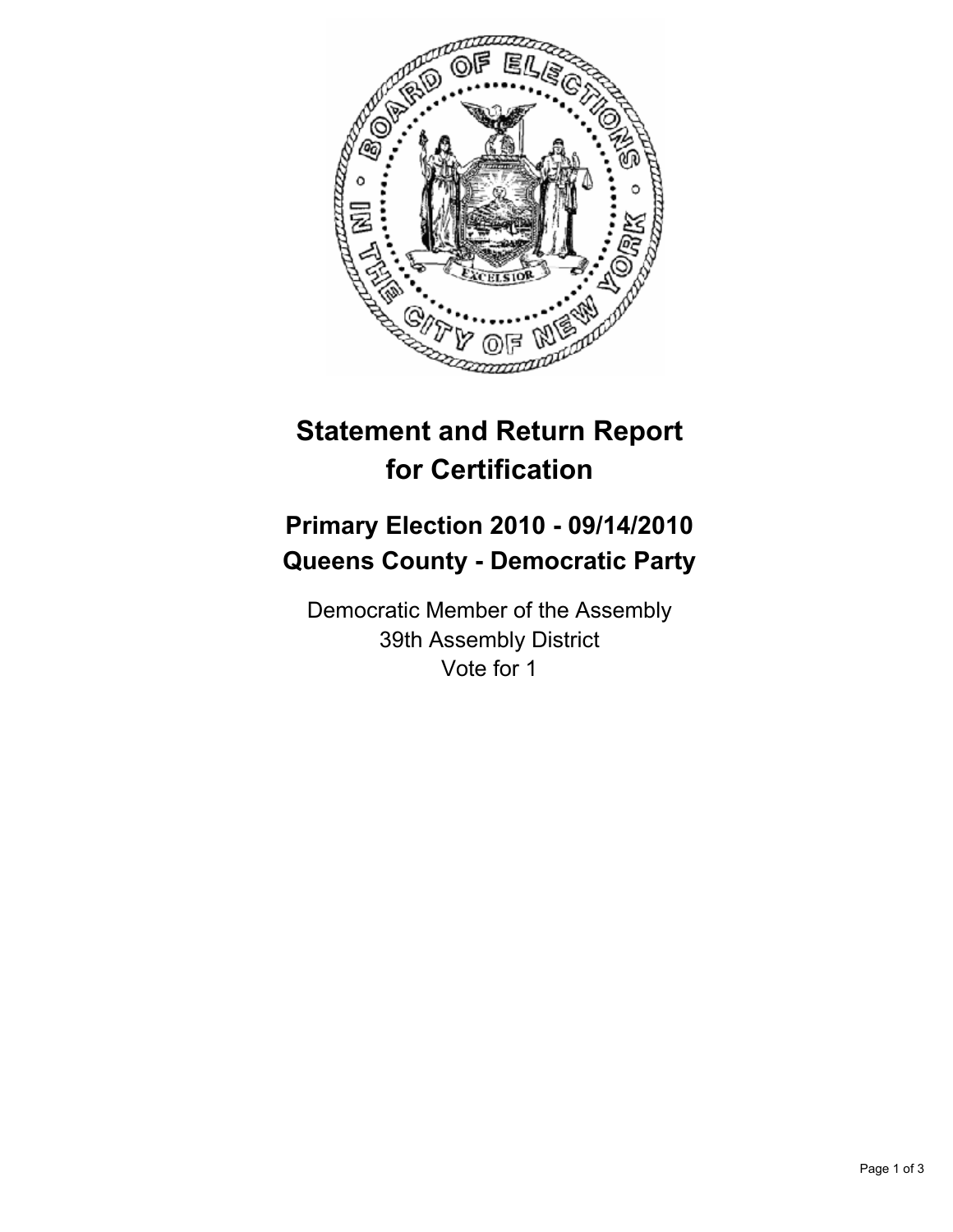

## **Statement and Return Report for Certification**

## **Primary Election 2010 - 09/14/2010 Queens County - Democratic Party**

Democratic Member of the Assembly 39th Assembly District Vote for 1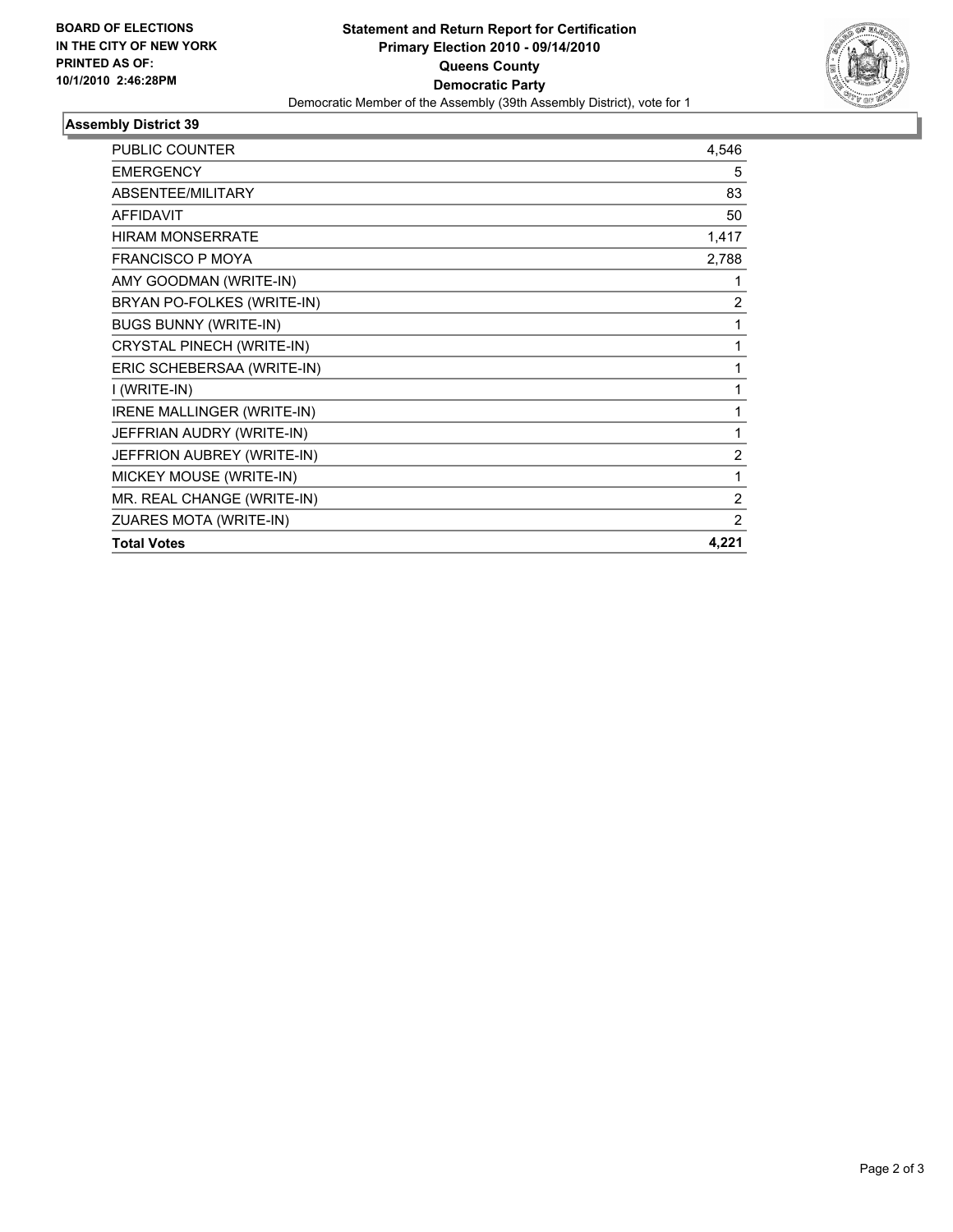

## **Assembly District 39**

| <b>PUBLIC COUNTER</b>             | 4,546          |
|-----------------------------------|----------------|
| <b>EMERGENCY</b>                  | 5              |
| ABSENTEE/MILITARY                 | 83             |
| <b>AFFIDAVIT</b>                  | 50             |
| <b>HIRAM MONSERRATE</b>           | 1,417          |
| <b>FRANCISCO P MOYA</b>           | 2,788          |
| AMY GOODMAN (WRITE-IN)            | 1              |
| BRYAN PO-FOLKES (WRITE-IN)        | 2              |
| <b>BUGS BUNNY (WRITE-IN)</b>      | 1              |
| CRYSTAL PINECH (WRITE-IN)         | 1              |
| ERIC SCHEBERSAA (WRITE-IN)        | 1              |
| I (WRITE-IN)                      | 1              |
| <b>IRENE MALLINGER (WRITE-IN)</b> | 1              |
| JEFFRIAN AUDRY (WRITE-IN)         | 1              |
| JEFFRION AUBREY (WRITE-IN)        | $\overline{2}$ |
| MICKEY MOUSE (WRITE-IN)           | 1              |
| MR. REAL CHANGE (WRITE-IN)        | 2              |
| ZUARES MOTA (WRITE-IN)            | 2              |
| <b>Total Votes</b>                | 4,221          |